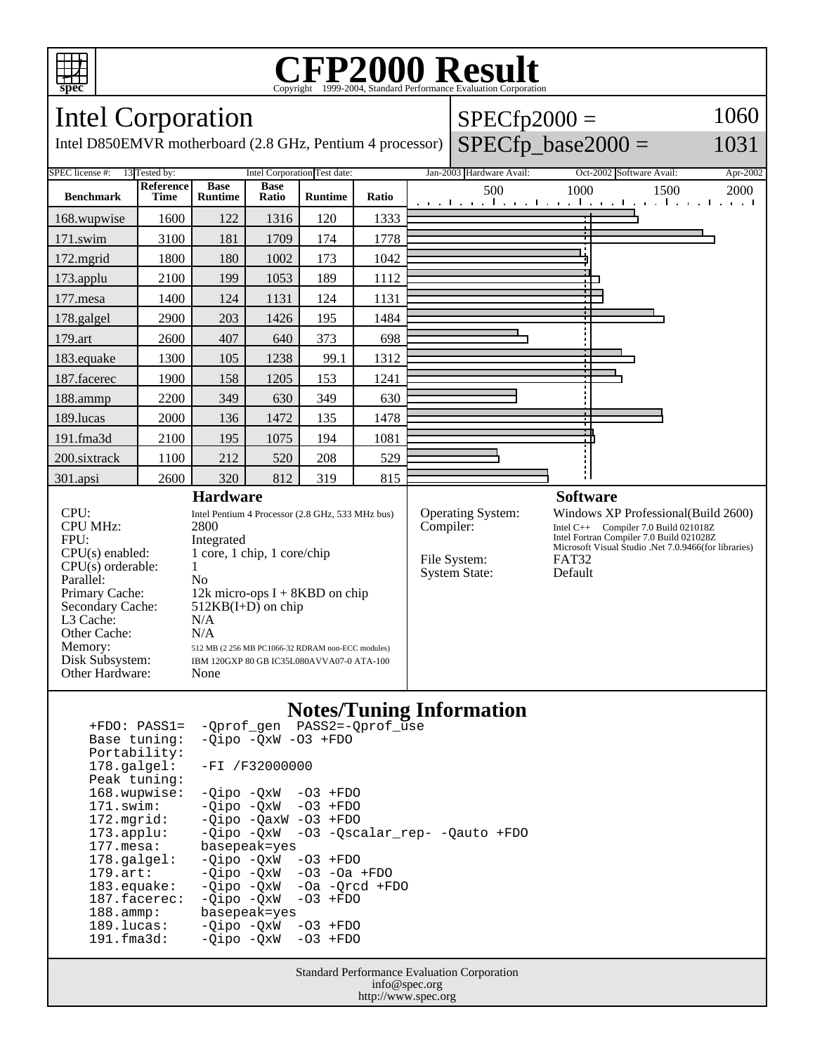

Other Cache:<br>Memory:

Other Hardware: None

### **CFP2000 Result** Copyright ©1999-2004, Standard Performance Evaluation

#### **spec** Intel Corporation  $SPECfp2000 =$ 1060  $SPECfp\_base2000 =$ Intel D850EMVR motherboard (2.8 GHz, Pentium 4 processor) 1031 SPEC license #: 13 Tested by: Intel Corporation Test date: Jan-2003 Hardware Avail: Oct-2002 Software Avail: Apr-2002 **Reference Base Base Ratio Runtime Ratio** 500 1000 1500 2000 **Benchmark Runtime Time** 168.wupwise 1600 122 1316 120 1333 171.swim | 3100 | 181 | 1709 | 174 | 1778 172.mgrid | 1800 | 180 | 1002 | 173 | 1042 173.applu | 2100 | 199 | 1053 | 189 | 1112 ٦ 177. mesa | 1400 | 124 | 1131 | 124 | 1131 178.galgel | 2900 | 203 | 1426 | 195 | 1484 179.art | 2600 | 407 | 640 | 373 | 698 183.equake 1300 105 1238 99.1 1312 187.facerec | 1900 | 158 | 1205 | 153 | 1241 188.ammp | 2200 | 349 | 630 | 349 | 630 189.lucas | 2000 | 136 | 1472 | 135 | 1478 191.fma3d 2100 195 1075 194 1081 200.sixtrack 1100 212 520 208 529 301.apsi | 2600 | 320 | 812 | 319 | 815 **Hardware Software** CPU: Intel Pentium 4 Processor (2.8 GHz, 533 MHz bus)<br>CPU MHz: 2800 Operating System: Windows XP Professional(Build 2600)<br>
Compiler: Intel C++ Compiler 7.0 Build 021018Z CPU MHz: Intel C++ Compiler 7.0 Build 021018Z Intel Fortran Compiler 7.0 Build 021028Z FPU: Integrated<br>CPU(s) enabled: 1 core, 1 c Microsoft Visual Studio .Net 7.0.9466(for libraries)  $1$  core,  $1$  chip,  $1$  core/chip File System: FAT32<br>System State: Default  $CPU(s)$  orderable:  $1$ System State: Parallel: No<br>Primary Cache: 12k 12k micro-ops  $I + 8KBD$  on chip Secondary Cache: 512KB(I+D) on chip L3 Cache: N/A<br>Other Cache: N/A

### **Notes/Tuning Information**

| $+FDO: PASS1=$         | -Oprof gen PASS2=-Oprof use              |
|------------------------|------------------------------------------|
| Base tuning:           | $-Oipo$ $-OxW$ $-O3$ $+FDO$              |
| Portability:           |                                          |
| $178.\texttt{qalqel:}$ | $-FI / F32000000$                        |
| Peak tuning:           |                                          |
| 168.wupwise:           | $-Oipo -QxW -O3 + FDO$                   |
| 171.swim:              | $-Qipo -QxW -O3 + FDO$                   |
| $172.\text{mgrid}:$    | $-Oipo$ $-OaxW$ $-O3$ $+FDO$             |
| $173.\text{applu}:$    | -Qipo -QxW -03 -Qscalar_rep- -Qauto +FDO |
| 177.mesa:              | basepeak=yes                             |
| $178.\text{qalgel}$ :  | $-Oipo -QxW -O3 + FDO$                   |
| $179.\text{art}:$      | $-Qipo -QxW -O3 -Oa + FDO$               |
| $183$ .equake:         | $-Oipo$ $-OxW$ $-Oa$ $-Orcd$ $+FDO$      |
| 187.facerec:           | $-Oipo$ $-OxW$ $-O3$ $+FDO$              |
| $188.\text{amp}:$      | basepeak=yes                             |
| 189.lucas:             | $-Qipo -QxW -O3 + FDO$                   |
| 191.fma3d:             | $-Oipo$ $-OxW$ $-O3$ $+FDO$              |
|                        |                                          |

512 MB (2 256 MB PC1066-32 RDRAM non-ECC modules)

Disk Subsystem: IBM 120GXP 80 GB IC35L080AVVA07-0 ATA-100

Standard Performance Evaluation Corporation info@spec.org http://www.spec.org